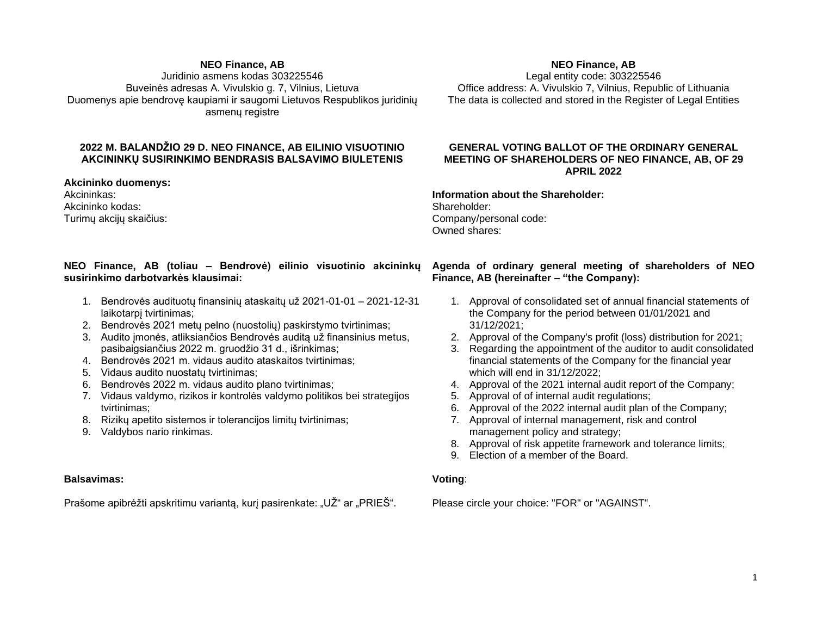#### **NEO Finance, AB**

Juridinio asmens kodas 303225546 Buveinės adresas A. Vivulskio g. 7, Vilnius, Lietuva Duomenys apie bendrovę kaupiami ir saugomi Lietuvos Respublikos juridinių asmenų registre

# **2022 M. BALANDŽIO 29 D. NEO FINANCE, AB EILINIO VISUOTINIO AKCININKŲ SUSIRINKIMO BENDRASIS BALSAVIMO BIULETENIS**

**Akcininko duomenys:**

Akcininkas: Akcininko kodas: Turimų akcijų skaičius:

## **NEO Finance, AB (toliau – Bendrovė) eilinio visuotinio akcininkų susirinkimo darbotvarkės klausimai:**

- 1. Bendrovės audituotų finansinių ataskaitų už 2021-01-01 2021-12-31 laikotarpį tvirtinimas;
- 2. Bendrovės 2021 metų pelno (nuostolių) paskirstymo tvirtinimas;
- 3. Audito įmonės, atliksiančios Bendrovės auditą už finansinius metus, pasibaigsiančius 2022 m. gruodžio 31 d., išrinkimas;
- 4. Bendrovės 2021 m. vidaus audito ataskaitos tvirtinimas;
- 5. Vidaus audito nuostatų tvirtinimas;
- 6. Bendrovės 2022 m. vidaus audito plano tvirtinimas;
- 7. Vidaus valdymo, rizikos ir kontrolės valdymo politikos bei strategijos tvirtinimas;
- 8. Rizikų apetito sistemos ir tolerancijos limitų tvirtinimas;
- 9. Valdybos nario rinkimas.

## **Balsavimas:**

Prašome apibrėžti apskritimu varianta, kuri pasirenkate: "UŽ" ar "PRIEŠ".

## **NEO Finance, AB**

Legal entity code: 303225546 Office address: A. Vivulskio 7, Vilnius, Republic of Lithuania The data is collected and stored in the Register of Legal Entities

## **GENERAL VOTING BALLOT OF THE ORDINARY GENERAL MEETING OF SHAREHOLDERS OF NEO FINANCE, AB, OF 29 APRIL 2022**

#### **Information about the Shareholder:** Shareholder: Company/personal code: Owned shares:

## **Agenda of ordinary general meeting of shareholders of NEO Finance, AB (hereinafter – "the Company):**

- 1. Approval of consolidated set of annual financial statements of the Company for the period between 01/01/2021 and 31/12/2021;
- 2. Approval of the Company's profit (loss) distribution for 2021;
- 3. Regarding the appointment of the auditor to audit consolidated financial statements of the Company for the financial year which will end in 31/12/2022;
- 4. Approval of the 2021 internal audit report of the Company;
- 5. Approval of of internal audit regulations;
- 6. Approval of the 2022 internal audit plan of the Company;
- 7. Approval of internal management, risk and control management policy and strategy;
- 8. Approval of risk appetite framework and tolerance limits;
- 9. Election of a member of the Board.

## **Voting**:

Please circle your choice: "FOR" or "AGAINST".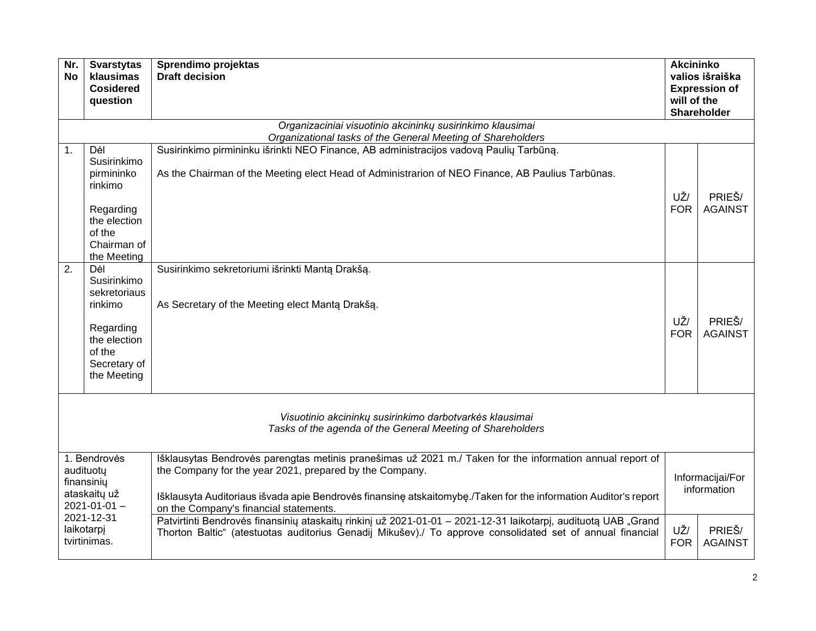| Nr.<br>No                                                                                                                 | <b>Svarstytas</b><br>klausimas<br><b>Cosidered</b><br>question                                                           | Sprendimo projektas<br><b>Draft decision</b>                                                                                                                                                                                                                                                                                      | <b>Akcininko</b><br>valios išraiška<br><b>Expression of</b><br>will of the<br><b>Shareholder</b> |                          |  |  |
|---------------------------------------------------------------------------------------------------------------------------|--------------------------------------------------------------------------------------------------------------------------|-----------------------------------------------------------------------------------------------------------------------------------------------------------------------------------------------------------------------------------------------------------------------------------------------------------------------------------|--------------------------------------------------------------------------------------------------|--------------------------|--|--|
|                                                                                                                           | Organizaciniai visuotinio akcininkų susirinkimo klausimai<br>Organizational tasks of the General Meeting of Shareholders |                                                                                                                                                                                                                                                                                                                                   |                                                                                                  |                          |  |  |
| 1.                                                                                                                        | Dėl<br>Susirinkimo<br>pirmininko<br>rinkimo<br>Regarding<br>the election<br>of the<br>Chairman of<br>the Meeting         | Susirinkimo pirmininku išrinkti NEO Finance, AB administracijos vadovą Paulių Tarbūną.<br>As the Chairman of the Meeting elect Head of Administrarion of NEO Finance, AB Paulius Tarbūnas.                                                                                                                                        | UŽ/<br><b>FOR</b>                                                                                | PRIEŠ/<br><b>AGAINST</b> |  |  |
| 2.                                                                                                                        | Dėl<br>Susirinkimo<br>sekretoriaus<br>rinkimo<br>Regarding<br>the election<br>of the<br>Secretary of<br>the Meeting      | Susirinkimo sekretoriumi išrinkti Mantą Drakšą.<br>As Secretary of the Meeting elect Manta Drakša.                                                                                                                                                                                                                                | UŽ/<br><b>FOR</b>                                                                                | PRIEŠ/<br><b>AGAINST</b> |  |  |
| Visuotinio akcininkų susirinkimo darbotvarkės klausimai<br>Tasks of the agenda of the General Meeting of Shareholders     |                                                                                                                          |                                                                                                                                                                                                                                                                                                                                   |                                                                                                  |                          |  |  |
| 1. Bendrovės<br>audituotų<br>finansiniy<br>ataskaitų už<br>$2021 - 01 - 01 -$<br>2021-12-31<br>laikotarpj<br>tvirtinimas. |                                                                                                                          | Išklausytas Bendrovės parengtas metinis pranešimas už 2021 m./ Taken for the information annual report of<br>the Company for the year 2021, prepared by the Company.<br>Išklausyta Auditoriaus išvada apie Bendrovės finansinę atskaitomybę./Taken for the information Auditor's report<br>on the Company's financial statements. | Informacijai/For<br>information                                                                  |                          |  |  |
|                                                                                                                           |                                                                                                                          | Patvirtinti Bendrovės finansinių ataskaitų rinkinį už 2021-01-01 - 2021-12-31 laikotarpį, audituotą UAB "Grand<br>Thorton Baltic" (atestuotas auditorius Genadij Mikušev)./ To approve consolidated set of annual financial                                                                                                       | UŽ/<br>PRIEŠ/<br><b>FOR</b><br><b>AGAINST</b>                                                    |                          |  |  |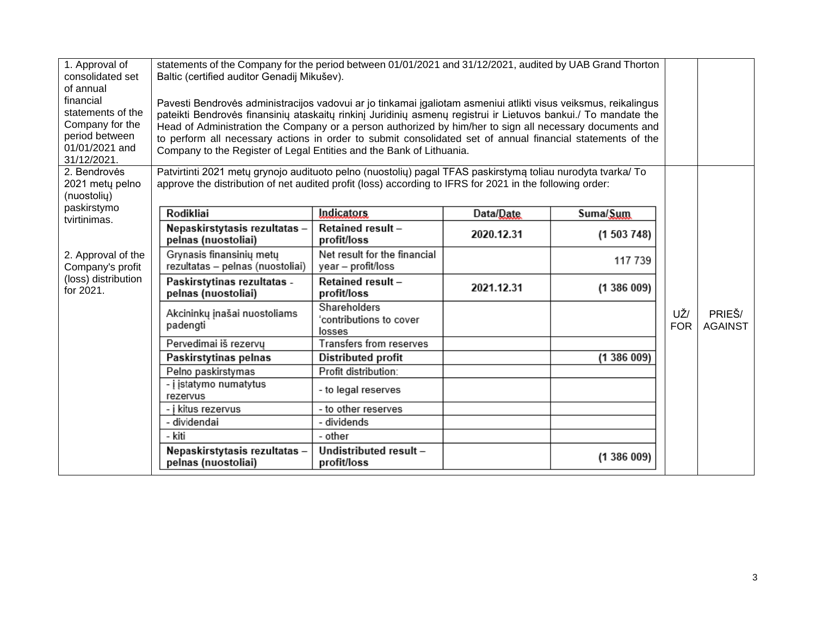| 1. Approval of<br>consolidated set<br>of annual                                                      | statements of the Company for the period between 01/01/2021 and 31/12/2021, audited by UAB Grand Thorton<br>Baltic (certified auditor Genadij Mikušev).                                                                                                                                                                                                                                                                                                                                                                             |                                                    |            |           |                   |                          |
|------------------------------------------------------------------------------------------------------|-------------------------------------------------------------------------------------------------------------------------------------------------------------------------------------------------------------------------------------------------------------------------------------------------------------------------------------------------------------------------------------------------------------------------------------------------------------------------------------------------------------------------------------|----------------------------------------------------|------------|-----------|-------------------|--------------------------|
| financial<br>statements of the<br>Company for the<br>period between<br>01/01/2021 and<br>31/12/2021. | Pavesti Bendrovės administracijos vadovui ar jo tinkamai įgaliotam asmeniui atlikti visus veiksmus, reikalingus<br>pateikti Bendrovės finansinių ataskaitų rinkinį Juridinių asmenų registrui ir Lietuvos bankui./ To mandate the<br>Head of Administration the Company or a person authorized by him/her to sign all necessary documents and<br>to perform all necessary actions in order to submit consolidated set of annual financial statements of the<br>Company to the Register of Legal Entities and the Bank of Lithuania. |                                                    |            |           |                   |                          |
| 2. Bendrovės<br>2021 metų pelno<br>(nuostolių)                                                       | Patvirtinti 2021 metų grynojo audituoto pelno (nuostolių) pagal TFAS paskirstymą toliau nurodyta tvarka/ To<br>approve the distribution of net audited profit (loss) according to IFRS for 2021 in the following order:                                                                                                                                                                                                                                                                                                             |                                                    |            |           |                   |                          |
| paskirstymo<br>tvirtinimas.                                                                          | Rodikliai                                                                                                                                                                                                                                                                                                                                                                                                                                                                                                                           | <b>Indicators</b>                                  | Data/Date  | Suma/Sum  |                   |                          |
|                                                                                                      | Nepaskirstytasis rezultatas -<br>pelnas (nuostoliai)                                                                                                                                                                                                                                                                                                                                                                                                                                                                                | Retained result -<br>profit/loss                   | 2020.12.31 | (1503748) |                   |                          |
| 2. Approval of the<br>Company's profit                                                               | Grynasis finansinių metų<br>rezultatas - pelnas (nuostoliai)                                                                                                                                                                                                                                                                                                                                                                                                                                                                        | Net result for the financial<br>year - profit/loss |            | 117 739   |                   |                          |
| (loss) distribution<br>for 2021.                                                                     | Paskirstytinas rezultatas -<br>pelnas (nuostoliai)                                                                                                                                                                                                                                                                                                                                                                                                                                                                                  | Retained result -<br>profit/loss                   | 2021.12.31 | (1386009) |                   |                          |
|                                                                                                      | Akcininkų įnašai nuostoliams<br>padengti                                                                                                                                                                                                                                                                                                                                                                                                                                                                                            | Shareholders<br>'contributions to cover<br>losses  |            |           | UŽ/<br><b>FOR</b> | PRIEŠ/<br><b>AGAINST</b> |
|                                                                                                      | Pervedimai iš rezervų                                                                                                                                                                                                                                                                                                                                                                                                                                                                                                               | Transfers from reserves                            |            |           |                   |                          |
|                                                                                                      | Paskirstytinas pelnas                                                                                                                                                                                                                                                                                                                                                                                                                                                                                                               | Distributed profit                                 |            | (1386009) |                   |                          |
|                                                                                                      | Pelno paskirstymas                                                                                                                                                                                                                                                                                                                                                                                                                                                                                                                  | Profit distribution:                               |            |           |                   |                          |
|                                                                                                      | - j įstatymo numatytus<br>rezervus                                                                                                                                                                                                                                                                                                                                                                                                                                                                                                  | - to legal reserves                                |            |           |                   |                          |
|                                                                                                      | - į kitus rezervus                                                                                                                                                                                                                                                                                                                                                                                                                                                                                                                  | - to other reserves                                |            |           |                   |                          |
|                                                                                                      | - dividendai                                                                                                                                                                                                                                                                                                                                                                                                                                                                                                                        | - dividends                                        |            |           |                   |                          |
|                                                                                                      | - kiti                                                                                                                                                                                                                                                                                                                                                                                                                                                                                                                              | - other                                            |            |           |                   |                          |
|                                                                                                      | Nepaskirstytasis rezultatas -<br>pelnas (nuostoliai)                                                                                                                                                                                                                                                                                                                                                                                                                                                                                | Undistributed result -<br>profit/loss              |            | (1386009) |                   |                          |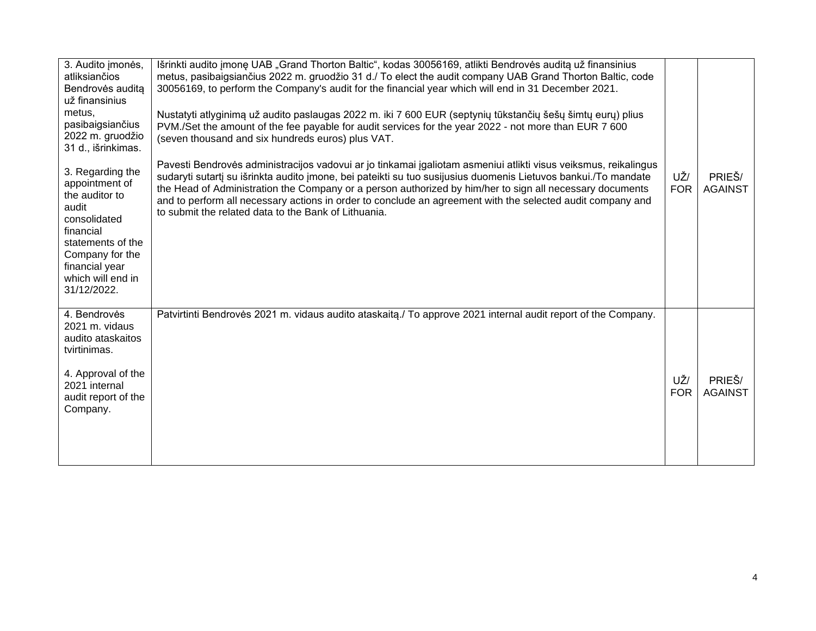| 3. Audito jmonės,<br>atliksiančios<br>Bendrovės auditą<br>už finansinius<br>metus,<br>pasibaigsiančius<br>2022 m. gruodžio<br>31 d., išrinkimas.                                         | Išrinkti audito jmonę UAB "Grand Thorton Baltic", kodas 30056169, atlikti Bendrovės auditą už finansinius<br>metus, pasibaigsiančius 2022 m. gruodžio 31 d./ To elect the audit company UAB Grand Thorton Baltic, code<br>30056169, to perform the Company's audit for the financial year which will end in 31 December 2021.<br>Nustatyti atlyginimą už audito paslaugas 2022 m. iki 7 600 EUR (septynių tūkstančių šešų šimtų eurų) plius<br>PVM./Set the amount of the fee payable for audit services for the year 2022 - not more than EUR 7 600<br>(seven thousand and six hundreds euros) plus VAT. |                   |                          |
|------------------------------------------------------------------------------------------------------------------------------------------------------------------------------------------|-----------------------------------------------------------------------------------------------------------------------------------------------------------------------------------------------------------------------------------------------------------------------------------------------------------------------------------------------------------------------------------------------------------------------------------------------------------------------------------------------------------------------------------------------------------------------------------------------------------|-------------------|--------------------------|
| 3. Regarding the<br>appointment of<br>the auditor to<br>audit<br>consolidated<br>financial<br>statements of the<br>Company for the<br>financial year<br>which will end in<br>31/12/2022. | Pavesti Bendrovės administracijos vadovui ar jo tinkamai įgaliotam asmeniui atlikti visus veiksmus, reikalingus<br>sudaryti sutartį su išrinkta audito įmone, bei pateikti su tuo susijusius duomenis Lietuvos bankui./To mandate<br>the Head of Administration the Company or a person authorized by him/her to sign all necessary documents<br>and to perform all necessary actions in order to conclude an agreement with the selected audit company and<br>to submit the related data to the Bank of Lithuania.                                                                                       | UŽ/<br><b>FOR</b> | PRIEŠ/<br><b>AGAINST</b> |
| 4. Bendrovės<br>2021 m. vidaus<br>audito ataskaitos<br>tvirtinimas.<br>4. Approval of the<br>2021 internal<br>audit report of the<br>Company.                                            | Patvirtinti Bendrovės 2021 m. vidaus audito ataskaitą./ To approve 2021 internal audit report of the Company.                                                                                                                                                                                                                                                                                                                                                                                                                                                                                             | UŽ/<br><b>FOR</b> | PRIEŠ/<br><b>AGAINST</b> |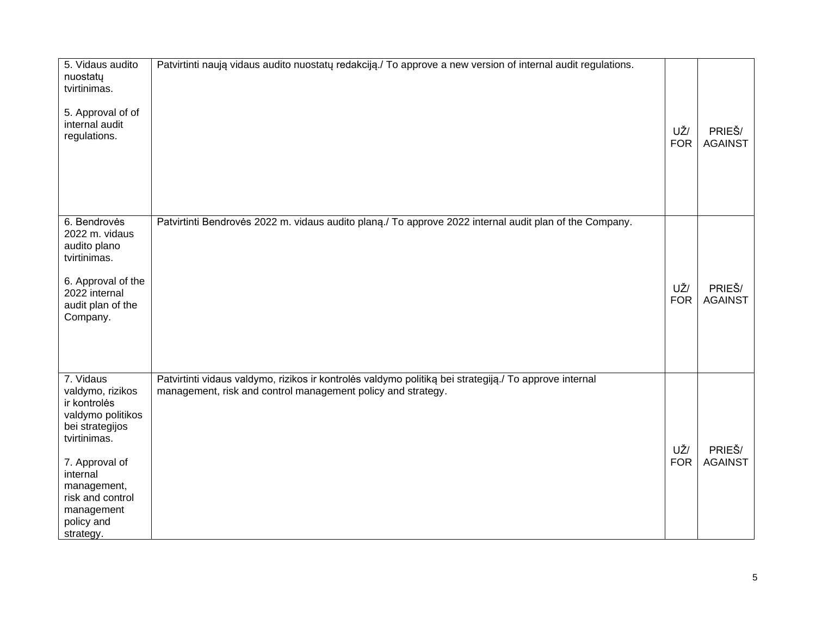| 5. Vidaus audito<br>nuostatų<br>tvirtinimas.<br>5. Approval of of<br>internal audit<br>regulations.                                                                                                             | Patvirtinti naują vidaus audito nuostatų redakciją./ To approve a new version of internal audit regulations.                                                           | UŽ/<br><b>FOR</b> | PRIEŠ/<br><b>AGAINST</b> |
|-----------------------------------------------------------------------------------------------------------------------------------------------------------------------------------------------------------------|------------------------------------------------------------------------------------------------------------------------------------------------------------------------|-------------------|--------------------------|
| 6. Bendrovės<br>2022 m. vidaus<br>audito plano<br>tvirtinimas.<br>6. Approval of the<br>2022 internal<br>audit plan of the<br>Company.                                                                          | Patvirtinti Bendrovės 2022 m. vidaus audito planą./ To approve 2022 internal audit plan of the Company.                                                                | UŽ/<br><b>FOR</b> | PRIEŠ/<br><b>AGAINST</b> |
| 7. Vidaus<br>valdymo, rizikos<br>ir kontrolės<br>valdymo politikos<br>bei strategijos<br>tvirtinimas.<br>7. Approval of<br>internal<br>management,<br>risk and control<br>management<br>policy and<br>strategy. | Patvirtinti vidaus valdymo, rizikos ir kontrolės valdymo politiką bei strategiją./ To approve internal<br>management, risk and control management policy and strategy. | UŽ/<br><b>FOR</b> | PRIEŠ/<br><b>AGAINST</b> |